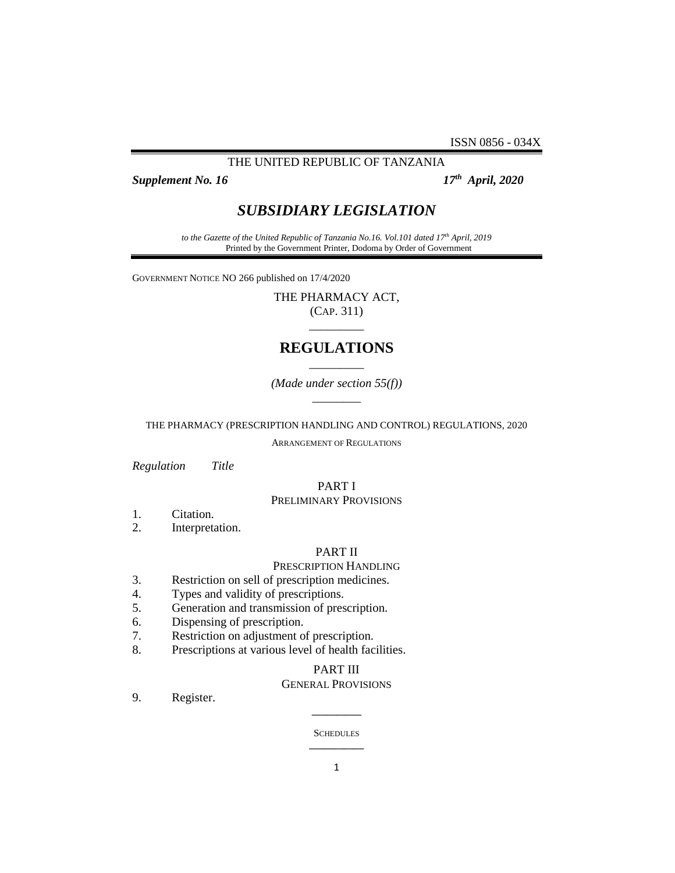ISSN 0856 - 034X

#### THE UNITED REPUBLIC OF TANZANIA

*Supplement No. 16* 

 *April, 2020*

# *SUBSIDIARY LEGISLATION*

*to the Gazette of the United Republic of Tanzania No.16. Vol.101 dated 17th April, 2019* Printed by the Government Printer, Dodoma by Order of Government

GOVERNMENT NOTICE NO 266 published on 17/4/2020

THE PHARMACY ACT, (CAP. 311) \_\_\_\_\_\_\_\_\_

# **REGULATIONS** \_\_\_\_\_\_\_\_\_

*(Made under section 55(f))* \_\_\_\_\_\_\_\_

THE PHARMACY (PRESCRIPTION HANDLING AND CONTROL) REGULATIONS, 2020

ARRANGEMENT OF REGULATIONS

*Regulation Title*

### PART I PRELIMINARY PROVISIONS

- 1. Citation.
- 2. Interpretation.

# PART II

### PRESCRIPTION HANDLING

- 3. Restriction on sell of prescription medicines.
- 4. Types and validity of prescriptions.
- 5. Generation and transmission of prescription.
- 6. Dispensing of prescription.
- 7. Restriction on adjustment of prescription.
- 8. Prescriptions at various level of health facilities.

# PART III

# GENERAL PROVISIONS

9. Register.

**SCHEDULES \_\_\_\_\_\_\_\_\_\_\_**

**\_\_\_\_\_\_\_\_\_\_**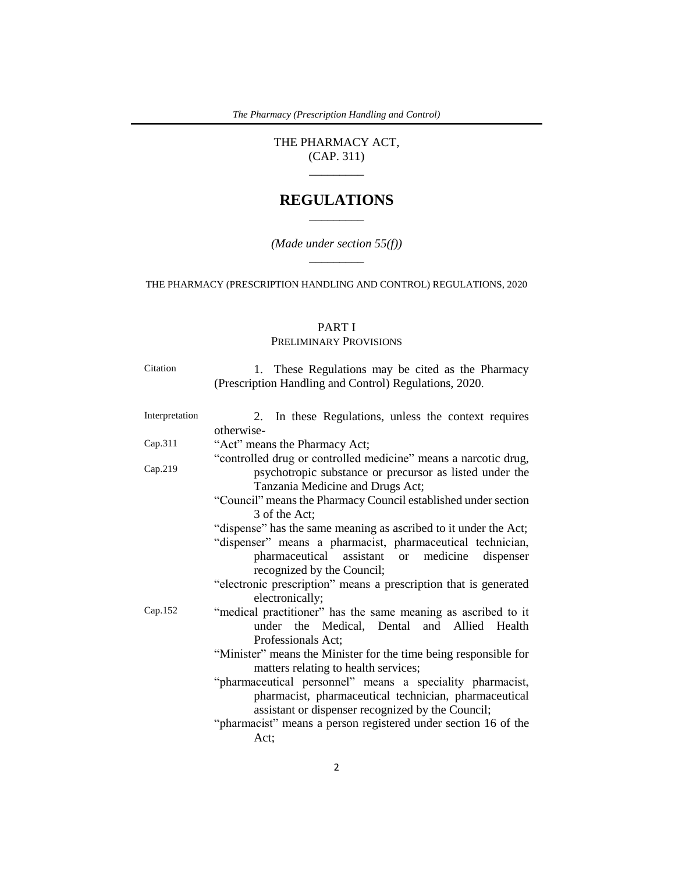THE PHARMACY ACT, (CAP. 311)

# **REGULATIONS**  $\overline{\phantom{a}}$

*(Made under section 55(f))* \_\_\_\_\_\_\_\_\_

THE PHARMACY (PRESCRIPTION HANDLING AND CONTROL) REGULATIONS, 2020

# PART I PRELIMINARY PROVISIONS

| Citation       | 1. These Regulations may be cited as the Pharmacy<br>(Prescription Handling and Control) Regulations, 2020.                                                                                                                |  |  |
|----------------|----------------------------------------------------------------------------------------------------------------------------------------------------------------------------------------------------------------------------|--|--|
| Interpretation | In these Regulations, unless the context requires<br>2.<br>otherwise-                                                                                                                                                      |  |  |
| Cap.311        | "Act" means the Pharmacy Act;                                                                                                                                                                                              |  |  |
| Cap.219        | "controlled drug or controlled medicine" means a narcotic drug,<br>psychotropic substance or precursor as listed under the<br>Tanzania Medicine and Drugs Act;                                                             |  |  |
|                | "Council" means the Pharmacy Council established under section<br>3 of the Act:                                                                                                                                            |  |  |
|                | "dispense" has the same meaning as ascribed to it under the Act;<br>"dispenser" means a pharmacist, pharmaceutical technician,<br>pharmaceutical assistant<br>medicine<br>or or<br>dispenser<br>recognized by the Council; |  |  |
|                | "electronic prescription" means a prescription that is generated<br>electronically;                                                                                                                                        |  |  |
| Cap.152        | "medical practitioner" has the same meaning as ascribed to it<br>under the Medical, Dental<br>and Allied<br>Health<br>Professionals Act:                                                                                   |  |  |
|                | "Minister" means the Minister for the time being responsible for<br>matters relating to health services;                                                                                                                   |  |  |
|                | "pharmaceutical personnel" means a speciality pharmacist,<br>pharmacist, pharmaceutical technician, pharmaceutical<br>assistant or dispenser recognized by the Council;                                                    |  |  |
|                | "pharmacist" means a person registered under section 16 of the<br>Act;                                                                                                                                                     |  |  |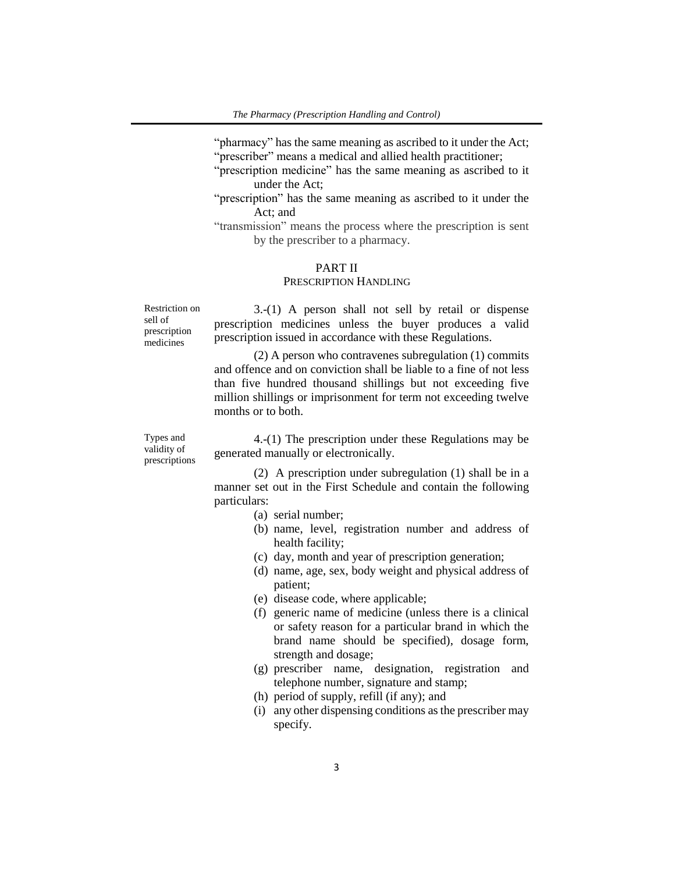"pharmacy" has the same meaning as ascribed to it under the Act; "prescriber" means a medical and allied health practitioner;

"prescription medicine" has the same meaning as ascribed to it under the Act;

- "prescription" has the same meaning as ascribed to it under the Act; and
- "transmission" means the process where the prescription is sent by the prescriber to a pharmacy.

### PART II

#### PRESCRIPTION HANDLING

Restriction on sell of prescription medicines

3.-(1) A person shall not sell by retail or dispense prescription medicines unless the buyer produces a valid prescription issued in accordance with these Regulations.

(2) A person who contravenes subregulation (1) commits and offence and on conviction shall be liable to a fine of not less than five hundred thousand shillings but not exceeding five million shillings or imprisonment for term not exceeding twelve months or to both.

Types and validity of prescriptions

4.-(1) The prescription under these Regulations may be generated manually or electronically.

(2) A prescription under subregulation (1) shall be in a manner set out in the First Schedule and contain the following particulars:

- (a) serial number;
- (b) name, level, registration number and address of health facility;
- (c) day, month and year of prescription generation;
- (d) name, age, sex, body weight and physical address of patient;
- (e) disease code, where applicable;
- (f) generic name of medicine (unless there is a clinical or safety reason for a particular brand in which the brand name should be specified), dosage form, strength and dosage;
- (g) prescriber name, designation, registration and telephone number, signature and stamp;
- (h) period of supply, refill (if any); and
- (i) any other dispensing conditions as the prescriber may specify.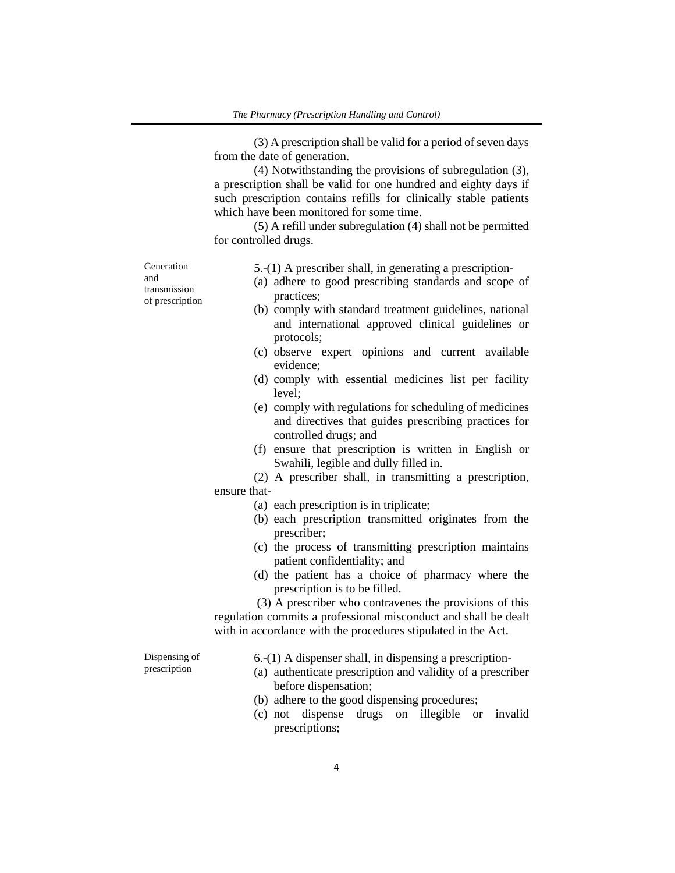(3) A prescription shall be valid for a period of seven days from the date of generation.

(4) Notwithstanding the provisions of subregulation (3), a prescription shall be valid for one hundred and eighty days if such prescription contains refills for clinically stable patients which have been monitored for some time.

(5) A refill under subregulation (4) shall not be permitted for controlled drugs.

Generation and transmission of prescription

- 5.-(1) A prescriber shall, in generating a prescription-
- (a) adhere to good prescribing standards and scope of practices;
- (b) comply with standard treatment guidelines, national and international approved clinical guidelines or protocols;
- (c) observe expert opinions and current available evidence;
- (d) comply with essential medicines list per facility level;
- (e) comply with regulations for scheduling of medicines and directives that guides prescribing practices for controlled drugs; and
- (f) ensure that prescription is written in English or Swahili, legible and dully filled in.
- (2) A prescriber shall, in transmitting a prescription, ensure that-
	- (a) each prescription is in triplicate;
	- (b) each prescription transmitted originates from the prescriber;
	- (c) the process of transmitting prescription maintains patient confidentiality; and
	- (d) the patient has a choice of pharmacy where the prescription is to be filled.

(3) A prescriber who contravenes the provisions of this regulation commits a professional misconduct and shall be dealt with in accordance with the procedures stipulated in the Act.

Dispensing of prescription

6.-(1) A dispenser shall, in dispensing a prescription-

- (a) authenticate prescription and validity of a prescriber before dispensation;
- (b) adhere to the good dispensing procedures;
- (c) not dispense drugs on illegible or invalid prescriptions;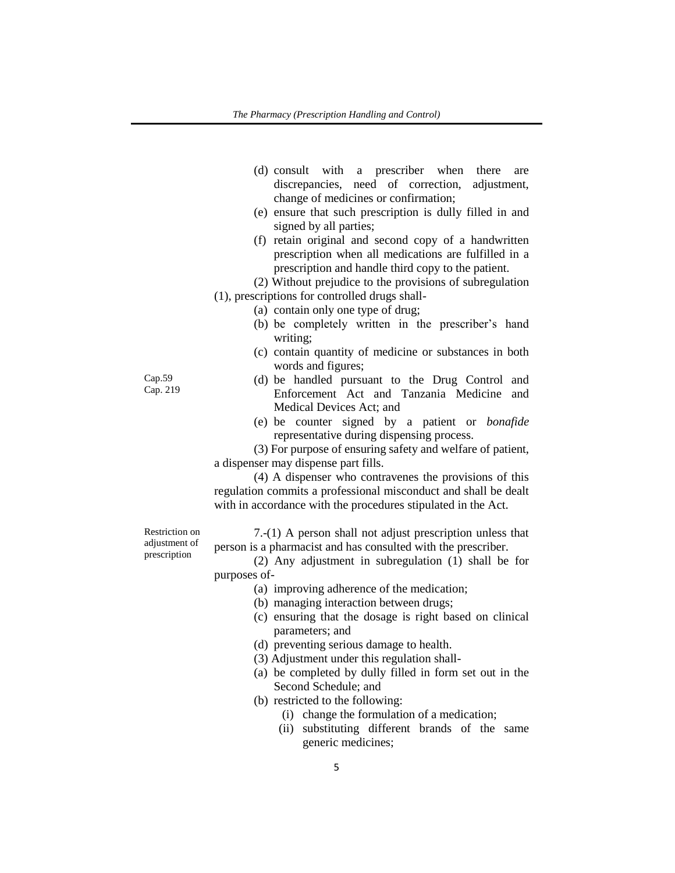- (d) consult with a prescriber when there are discrepancies, need of correction, adjustment, change of medicines or confirmation;
- (e) ensure that such prescription is dully filled in and signed by all parties;
- (f) retain original and second copy of a handwritten prescription when all medications are fulfilled in a prescription and handle third copy to the patient.
- (2) Without prejudice to the provisions of subregulation (1), prescriptions for controlled drugs shall-
	- (a) contain only one type of drug;
		- (b) be completely written in the prescriber's hand writing;
		- (c) contain quantity of medicine or substances in both words and figures;
		- (d) be handled pursuant to the Drug Control and Enforcement Act and Tanzania Medicine and Medical Devices Act; and
		- (e) be counter signed by a patient or *bonafide* representative during dispensing process.

(3) For purpose of ensuring safety and welfare of patient, a dispenser may dispense part fills.

(4) A dispenser who contravenes the provisions of this regulation commits a professional misconduct and shall be dealt with in accordance with the procedures stipulated in the Act.

Restriction on adjustment of prescription

7.-(1) A person shall not adjust prescription unless that person is a pharmacist and has consulted with the prescriber.

(2) Any adjustment in subregulation (1) shall be for purposes of-

- (a) improving adherence of the medication;
- (b) managing interaction between drugs;
- (c) ensuring that the dosage is right based on clinical parameters; and
- (d) preventing serious damage to health.
- (3) Adjustment under this regulation shall-
- (a) be completed by dully filled in form set out in the Second Schedule; and
- (b) restricted to the following:
	- (i) change the formulation of a medication;
	- (ii) substituting different brands of the same generic medicines;

Cap.59 Cap. 219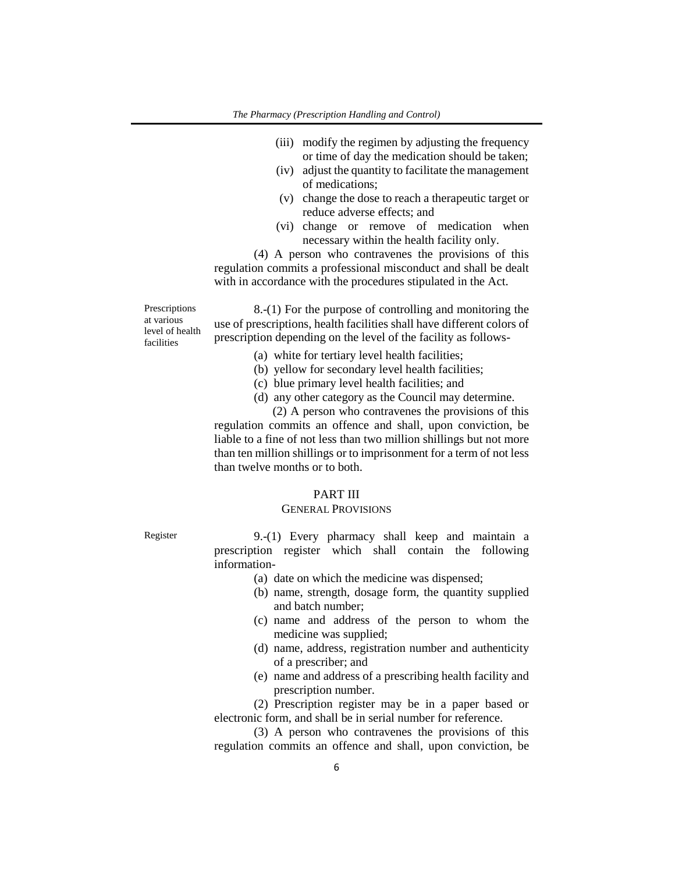- (iii) modify the regimen by adjusting the frequency or time of day the medication should be taken;
- (iv) adjust the quantity to facilitate the management of medications;
- (v) change the dose to reach a therapeutic target or reduce adverse effects; and
- (vi) change or remove of medication when necessary within the health facility only.

(4) A person who contravenes the provisions of this regulation commits a professional misconduct and shall be dealt with in accordance with the procedures stipulated in the Act.

Prescriptions at various level of health facilities

8.-(1) For the purpose of controlling and monitoring the use of prescriptions, health facilities shall have different colors of prescription depending on the level of the facility as follows-

- (a) white for tertiary level health facilities;
- (b) yellow for secondary level health facilities;
- (c) blue primary level health facilities; and
- (d) any other category as the Council may determine.

(2) A person who contravenes the provisions of this regulation commits an offence and shall, upon conviction, be liable to a fine of not less than two million shillings but not more than ten million shillings or to imprisonment for a term of not less than twelve months or to both.

#### PART III

#### GENERAL PROVISIONS

Register 9.-(1) Every pharmacy shall keep and maintain a prescription register which shall contain the following information-

- (a) date on which the medicine was dispensed;
- (b) name, strength, dosage form, the quantity supplied and batch number;
- (c) name and address of the person to whom the medicine was supplied;
- (d) name, address, registration number and authenticity of a prescriber; and
- (e) name and address of a prescribing health facility and prescription number.

(2) Prescription register may be in a paper based or electronic form, and shall be in serial number for reference.

(3) A person who contravenes the provisions of this regulation commits an offence and shall, upon conviction, be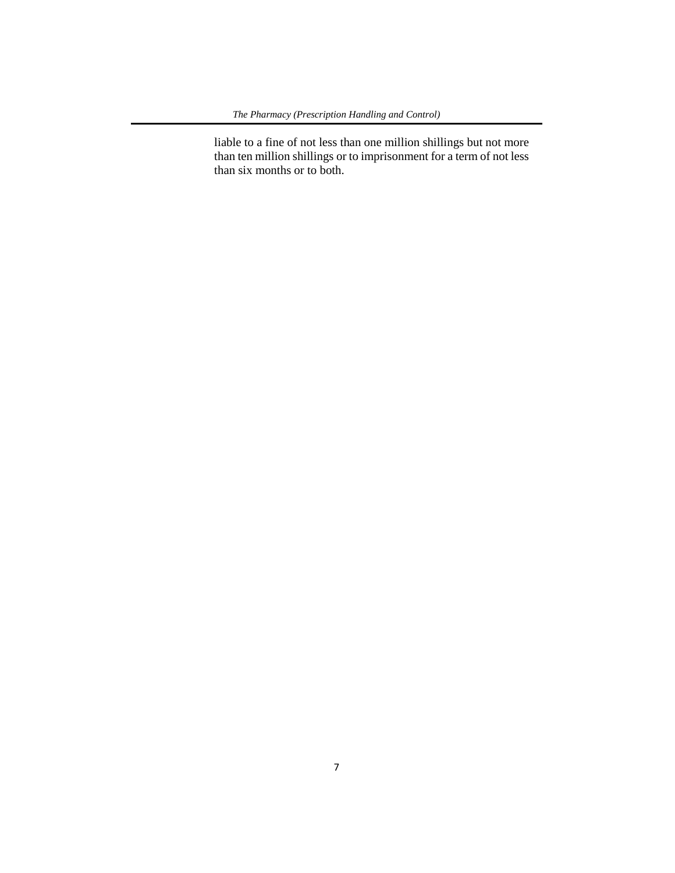liable to a fine of not less than one million shillings but not more than ten million shillings or to imprisonment for a term of not less than six months or to both.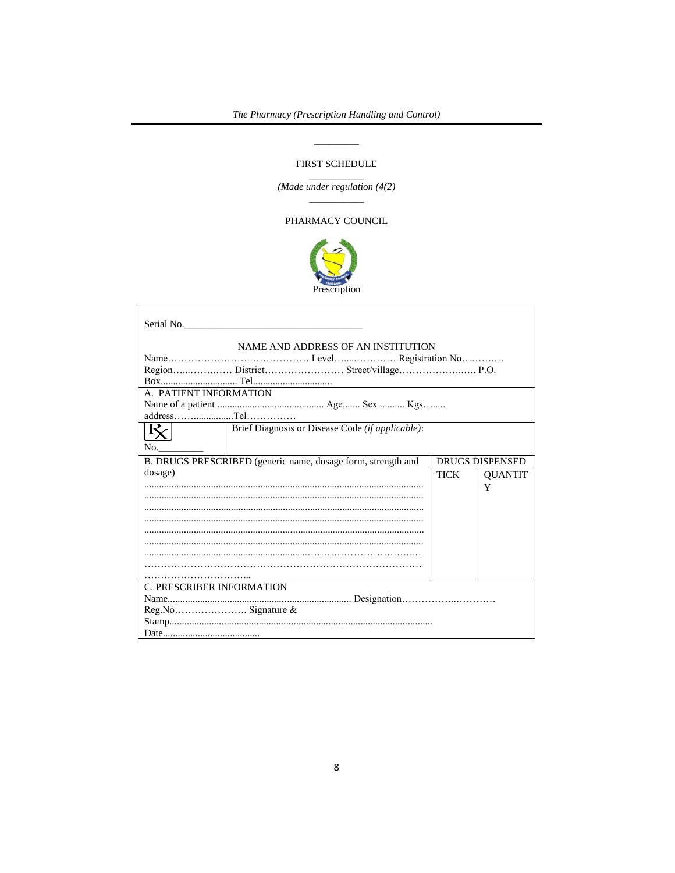## FIRST SCHEDULE

(Made under regulation  $(4(2))$ 

## PHARMACY COUNCIL



| Serial No.                                                     |             |                        |  |
|----------------------------------------------------------------|-------------|------------------------|--|
| NAME AND ADDRESS OF AN INSTITUTION                             |             |                        |  |
|                                                                |             |                        |  |
|                                                                |             |                        |  |
|                                                                |             |                        |  |
| A. PATIENT INFORMATION                                         |             |                        |  |
|                                                                |             |                        |  |
|                                                                |             |                        |  |
| Brief Diagnosis or Disease Code (if applicable):<br>$R_{\leq}$ |             |                        |  |
|                                                                |             |                        |  |
| No.                                                            |             |                        |  |
| B. DRUGS PRESCRIBED (generic name, dosage form, strength and   |             | <b>DRUGS DISPENSED</b> |  |
| dosage)                                                        | <b>TICK</b> | <b>OUANTIT</b>         |  |
|                                                                |             | Y                      |  |
|                                                                |             |                        |  |
|                                                                |             |                        |  |
|                                                                |             |                        |  |
|                                                                |             |                        |  |
|                                                                |             |                        |  |
|                                                                |             |                        |  |
|                                                                |             |                        |  |
|                                                                |             |                        |  |
| C. PRESCRIBER INFORMATION                                      |             |                        |  |
|                                                                |             |                        |  |
|                                                                |             |                        |  |
|                                                                |             |                        |  |
|                                                                |             |                        |  |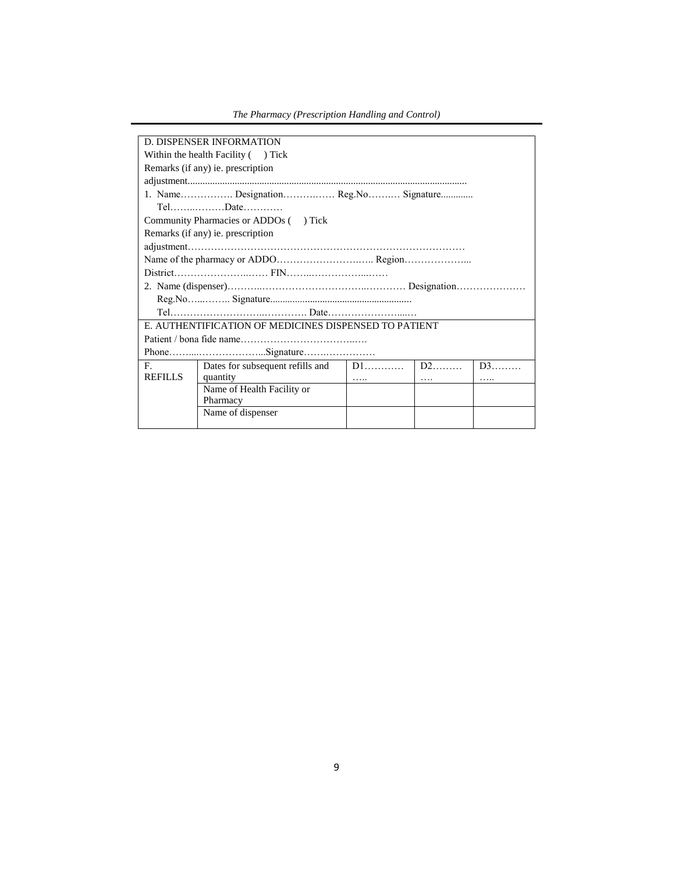*The Pharmacy (Prescription Handling and Control)*

|                                                                            | <b>D. DISPENSER INFORMATION</b>  |          |          |      |
|----------------------------------------------------------------------------|----------------------------------|----------|----------|------|
| Within the health Facility $($ $)$ Tick                                    |                                  |          |          |      |
| Remarks (if any) ie. prescription                                          |                                  |          |          |      |
|                                                                            |                                  |          |          |      |
| 1. Name Designation Reg.No Signature                                       |                                  |          |          |      |
| $Tel, \ldots, \ldots, \ldots, \text{Date}, \ldots, \ldots, \ldots, \ldots$ |                                  |          |          |      |
| Community Pharmacies or ADDOs () Tick                                      |                                  |          |          |      |
| Remarks (if any) ie. prescription                                          |                                  |          |          |      |
|                                                                            |                                  |          |          |      |
|                                                                            |                                  |          |          |      |
|                                                                            |                                  |          |          |      |
|                                                                            |                                  |          |          |      |
|                                                                            |                                  |          |          |      |
|                                                                            |                                  |          |          |      |
| E. AUTHENTIFICATION OF MEDICINES DISPENSED TO PATIENT                      |                                  |          |          |      |
|                                                                            |                                  |          |          |      |
|                                                                            |                                  |          |          |      |
| $F_{\rm c}$                                                                | Dates for subsequent refills and | $D1$     | $D2$     | $D3$ |
| <b>REFILLS</b>                                                             | quantity                         | $\cdots$ | $\cdots$ | .    |
|                                                                            | Name of Health Facility or       |          |          |      |
|                                                                            | Pharmacy                         |          |          |      |
|                                                                            | Name of dispenser                |          |          |      |
|                                                                            |                                  |          |          |      |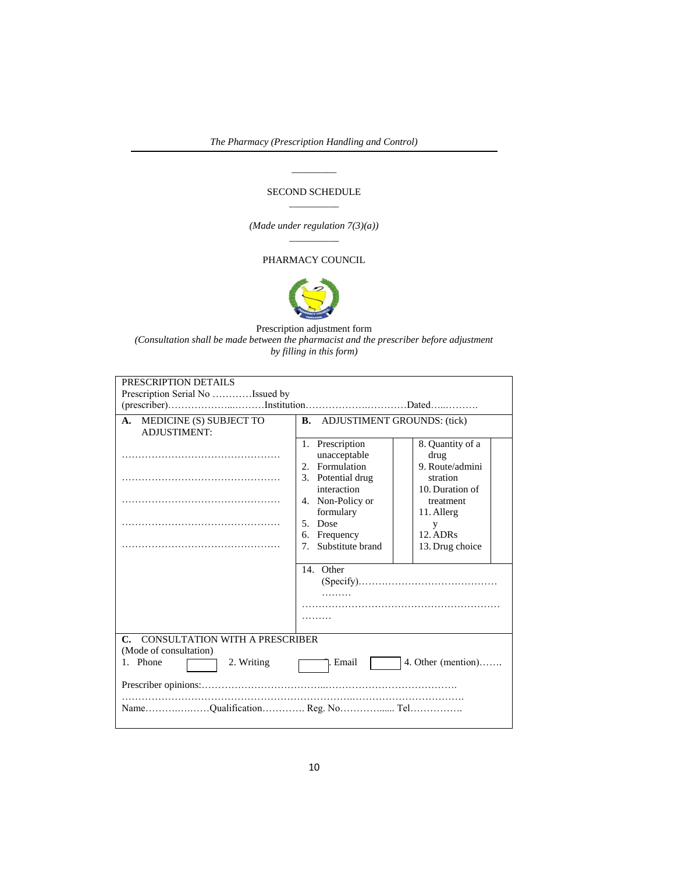*The Pharmacy (Prescription Handling and Control)*

#### SECOND SCHEDULE  $\overline{\phantom{a}}$   $\overline{\phantom{a}}$   $\overline{\phantom{a}}$   $\overline{\phantom{a}}$   $\overline{\phantom{a}}$   $\overline{\phantom{a}}$   $\overline{\phantom{a}}$   $\overline{\phantom{a}}$   $\overline{\phantom{a}}$   $\overline{\phantom{a}}$   $\overline{\phantom{a}}$   $\overline{\phantom{a}}$   $\overline{\phantom{a}}$   $\overline{\phantom{a}}$   $\overline{\phantom{a}}$   $\overline{\phantom{a}}$   $\overline{\phantom{a}}$   $\overline{\phantom{a}}$   $\overline{\$

 $\overline{\phantom{a}}$ 

*(Made under regulation 7(3)(a))*  $\overline{\phantom{a}}$   $\overline{\phantom{a}}$   $\overline{\phantom{a}}$   $\overline{\phantom{a}}$   $\overline{\phantom{a}}$   $\overline{\phantom{a}}$   $\overline{\phantom{a}}$   $\overline{\phantom{a}}$   $\overline{\phantom{a}}$   $\overline{\phantom{a}}$   $\overline{\phantom{a}}$   $\overline{\phantom{a}}$   $\overline{\phantom{a}}$   $\overline{\phantom{a}}$   $\overline{\phantom{a}}$   $\overline{\phantom{a}}$   $\overline{\phantom{a}}$   $\overline{\phantom{a}}$   $\overline{\$ 

## PHARMACY COUNCIL



Prescription adjustment form *(Consultation shall be made between the pharmacist and the prescriber before adjustment by filling in this form)*

| PRESCRIPTION DETAILS                                 |                                                             |  |  |
|------------------------------------------------------|-------------------------------------------------------------|--|--|
| Prescription Serial No Issued by                     |                                                             |  |  |
|                                                      | (prescriber)InstitutionDated                                |  |  |
| MEDICINE (S) SUBJECT TO<br>A.<br><b>ADJUSTIMENT:</b> | <b>B.</b> ADJUSTIMENT GROUNDS: (tick)                       |  |  |
|                                                      | 1. Prescription<br>8. Quantity of a<br>unacceptable<br>drug |  |  |
|                                                      | Formulation<br>9. Route/admini<br>2.                        |  |  |
|                                                      | Potential drug<br>stration<br>3.                            |  |  |
|                                                      | interaction<br>10. Duration of                              |  |  |
|                                                      | 4. Non-Policy or<br>treatment                               |  |  |
|                                                      | formulary<br>11. Allerg                                     |  |  |
|                                                      | Dose<br>.5<br>у                                             |  |  |
|                                                      | <b>12. ADRs</b><br>Frequency<br>6.                          |  |  |
|                                                      | Substitute brand<br>7 <sub>1</sub><br>13. Drug choice       |  |  |
|                                                      | 14. Other                                                   |  |  |
| <b>CONSULTATION WITH A PRESCRIBER</b><br>C.          |                                                             |  |  |
| (Mode of consultation)                               |                                                             |  |  |
| 1. Phone<br>2. Writing                               | 4. Other (mention)<br>Email                                 |  |  |
|                                                      |                                                             |  |  |
|                                                      |                                                             |  |  |